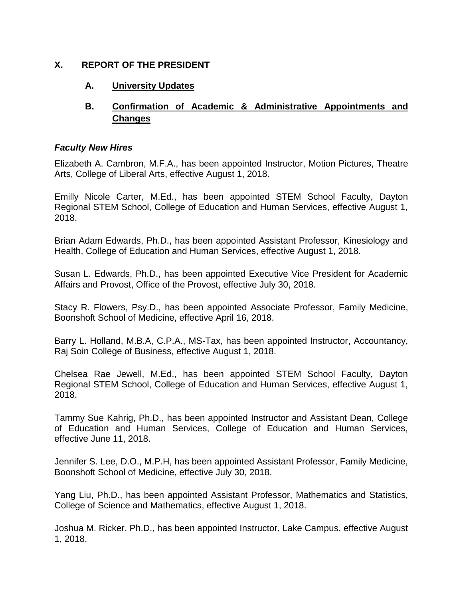## **X. REPORT OF THE PRESIDENT**

## **A. University Updates**

# **B. Confirmation of Academic & Administrative Appointments and Changes**

## *Faculty New Hires*

Elizabeth A. Cambron, M.F.A., has been appointed Instructor, Motion Pictures, Theatre Arts, College of Liberal Arts, effective August 1, 2018.

Emilly Nicole Carter, M.Ed., has been appointed STEM School Faculty, Dayton Regional STEM School, College of Education and Human Services, effective August 1, 2018.

Brian Adam Edwards, Ph.D., has been appointed Assistant Professor, Kinesiology and Health, College of Education and Human Services, effective August 1, 2018.

Susan L. Edwards, Ph.D., has been appointed Executive Vice President for Academic Affairs and Provost, Office of the Provost, effective July 30, 2018.

Stacy R. Flowers, Psy.D., has been appointed Associate Professor, Family Medicine, Boonshoft School of Medicine, effective April 16, 2018.

Barry L. Holland, M.B.A, C.P.A., MS-Tax, has been appointed Instructor, Accountancy, Raj Soin College of Business, effective August 1, 2018.

Chelsea Rae Jewell, M.Ed., has been appointed STEM School Faculty, Dayton Regional STEM School, College of Education and Human Services, effective August 1, 2018.

Tammy Sue Kahrig, Ph.D., has been appointed Instructor and Assistant Dean, College of Education and Human Services, College of Education and Human Services, effective June 11, 2018.

Jennifer S. Lee, D.O., M.P.H, has been appointed Assistant Professor, Family Medicine, Boonshoft School of Medicine, effective July 30, 2018.

Yang Liu, Ph.D., has been appointed Assistant Professor, Mathematics and Statistics, College of Science and Mathematics, effective August 1, 2018.

Joshua M. Ricker, Ph.D., has been appointed Instructor, Lake Campus, effective August 1, 2018.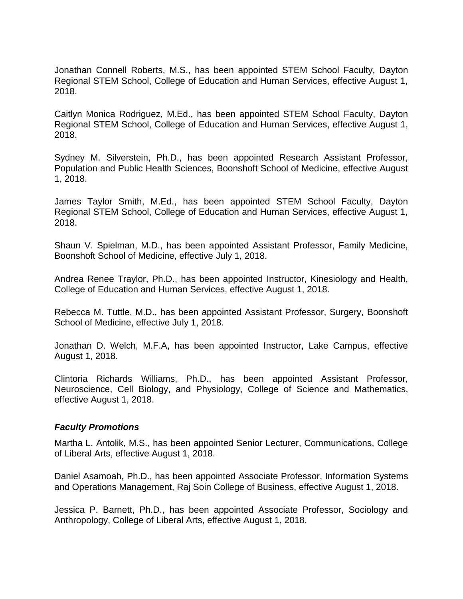Jonathan Connell Roberts, M.S., has been appointed STEM School Faculty, Dayton Regional STEM School, College of Education and Human Services, effective August 1, 2018.

Caitlyn Monica Rodriguez, M.Ed., has been appointed STEM School Faculty, Dayton Regional STEM School, College of Education and Human Services, effective August 1, 2018.

Sydney M. Silverstein, Ph.D., has been appointed Research Assistant Professor, Population and Public Health Sciences, Boonshoft School of Medicine, effective August 1, 2018.

James Taylor Smith, M.Ed., has been appointed STEM School Faculty, Dayton Regional STEM School, College of Education and Human Services, effective August 1, 2018.

Shaun V. Spielman, M.D., has been appointed Assistant Professor, Family Medicine, Boonshoft School of Medicine, effective July 1, 2018.

Andrea Renee Traylor, Ph.D., has been appointed Instructor, Kinesiology and Health, College of Education and Human Services, effective August 1, 2018.

Rebecca M. Tuttle, M.D., has been appointed Assistant Professor, Surgery, Boonshoft School of Medicine, effective July 1, 2018.

Jonathan D. Welch, M.F.A, has been appointed Instructor, Lake Campus, effective August 1, 2018.

Clintoria Richards Williams, Ph.D., has been appointed Assistant Professor, Neuroscience, Cell Biology, and Physiology, College of Science and Mathematics, effective August 1, 2018.

#### *Faculty Promotions*

Martha L. Antolik, M.S., has been appointed Senior Lecturer, Communications, College of Liberal Arts, effective August 1, 2018.

Daniel Asamoah, Ph.D., has been appointed Associate Professor, Information Systems and Operations Management, Raj Soin College of Business, effective August 1, 2018.

Jessica P. Barnett, Ph.D., has been appointed Associate Professor, Sociology and Anthropology, College of Liberal Arts, effective August 1, 2018.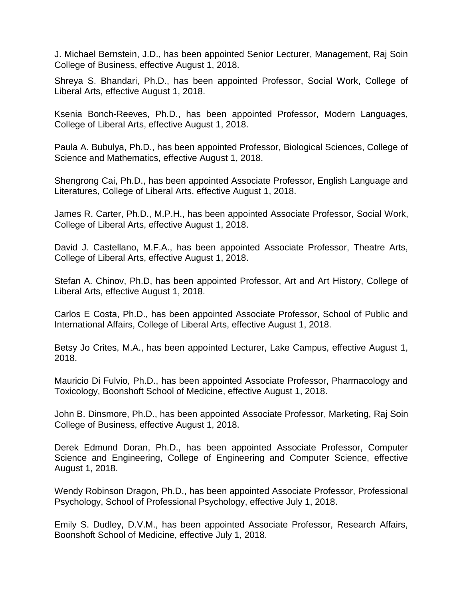J. Michael Bernstein, J.D., has been appointed Senior Lecturer, Management, Raj Soin College of Business, effective August 1, 2018.

Shreya S. Bhandari, Ph.D., has been appointed Professor, Social Work, College of Liberal Arts, effective August 1, 2018.

Ksenia Bonch-Reeves, Ph.D., has been appointed Professor, Modern Languages, College of Liberal Arts, effective August 1, 2018.

Paula A. Bubulya, Ph.D., has been appointed Professor, Biological Sciences, College of Science and Mathematics, effective August 1, 2018.

Shengrong Cai, Ph.D., has been appointed Associate Professor, English Language and Literatures, College of Liberal Arts, effective August 1, 2018.

James R. Carter, Ph.D., M.P.H., has been appointed Associate Professor, Social Work, College of Liberal Arts, effective August 1, 2018.

David J. Castellano, M.F.A., has been appointed Associate Professor, Theatre Arts, College of Liberal Arts, effective August 1, 2018.

Stefan A. Chinov, Ph.D, has been appointed Professor, Art and Art History, College of Liberal Arts, effective August 1, 2018.

Carlos E Costa, Ph.D., has been appointed Associate Professor, School of Public and International Affairs, College of Liberal Arts, effective August 1, 2018.

Betsy Jo Crites, M.A., has been appointed Lecturer, Lake Campus, effective August 1, 2018.

Mauricio Di Fulvio, Ph.D., has been appointed Associate Professor, Pharmacology and Toxicology, Boonshoft School of Medicine, effective August 1, 2018.

John B. Dinsmore, Ph.D., has been appointed Associate Professor, Marketing, Raj Soin College of Business, effective August 1, 2018.

Derek Edmund Doran, Ph.D., has been appointed Associate Professor, Computer Science and Engineering, College of Engineering and Computer Science, effective August 1, 2018.

Wendy Robinson Dragon, Ph.D., has been appointed Associate Professor, Professional Psychology, School of Professional Psychology, effective July 1, 2018.

Emily S. Dudley, D.V.M., has been appointed Associate Professor, Research Affairs, Boonshoft School of Medicine, effective July 1, 2018.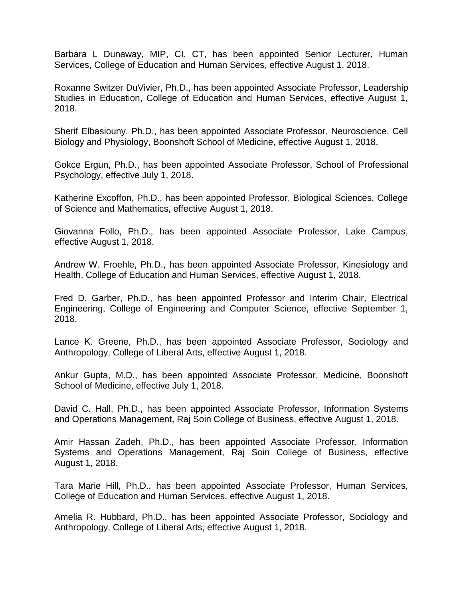Barbara L Dunaway, MIP, CI, CT, has been appointed Senior Lecturer, Human Services, College of Education and Human Services, effective August 1, 2018.

Roxanne Switzer DuVivier, Ph.D., has been appointed Associate Professor, Leadership Studies in Education, College of Education and Human Services, effective August 1, 2018.

Sherif Elbasiouny, Ph.D., has been appointed Associate Professor, Neuroscience, Cell Biology and Physiology, Boonshoft School of Medicine, effective August 1, 2018.

Gokce Ergun, Ph.D., has been appointed Associate Professor, School of Professional Psychology, effective July 1, 2018.

Katherine Excoffon, Ph.D., has been appointed Professor, Biological Sciences, College of Science and Mathematics, effective August 1, 2018.

Giovanna Follo, Ph.D., has been appointed Associate Professor, Lake Campus, effective August 1, 2018.

Andrew W. Froehle, Ph.D., has been appointed Associate Professor, Kinesiology and Health, College of Education and Human Services, effective August 1, 2018.

Fred D. Garber, Ph.D., has been appointed Professor and Interim Chair, Electrical Engineering, College of Engineering and Computer Science, effective September 1, 2018.

Lance K. Greene, Ph.D., has been appointed Associate Professor, Sociology and Anthropology, College of Liberal Arts, effective August 1, 2018.

Ankur Gupta, M.D., has been appointed Associate Professor, Medicine, Boonshoft School of Medicine, effective July 1, 2018.

David C. Hall, Ph.D., has been appointed Associate Professor, Information Systems and Operations Management, Raj Soin College of Business, effective August 1, 2018.

Amir Hassan Zadeh, Ph.D., has been appointed Associate Professor, Information Systems and Operations Management, Raj Soin College of Business, effective August 1, 2018.

Tara Marie Hill, Ph.D., has been appointed Associate Professor, Human Services, College of Education and Human Services, effective August 1, 2018.

Amelia R. Hubbard, Ph.D., has been appointed Associate Professor, Sociology and Anthropology, College of Liberal Arts, effective August 1, 2018.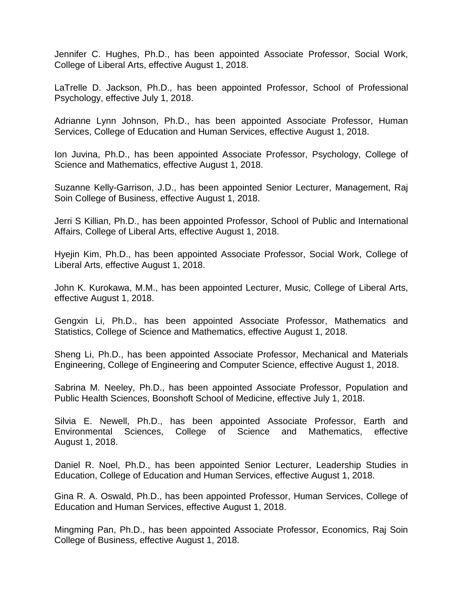Jennifer C. Hughes, Ph.D., has been appointed Associate Professor, Social Work, College of Liberal Arts, effective August 1, 2018.

LaTrelle D. Jackson, Ph.D., has been appointed Professor, School of Professional Psychology, effective July 1, 2018.

Adrianne Lynn Johnson, Ph.D., has been appointed Associate Professor, Human Services, College of Education and Human Services, effective August 1, 2018.

Ion Juvina, Ph.D., has been appointed Associate Professor, Psychology, College of Science and Mathematics, effective August 1, 2018.

Suzanne Kelly-Garrison, J.D., has been appointed Senior Lecturer, Management, Raj Soin College of Business, effective August 1, 2018.

Jerri S Killian, Ph.D., has been appointed Professor, School of Public and International Affairs, College of Liberal Arts, effective August 1, 2018.

Hyejin Kim, Ph.D., has been appointed Associate Professor, Social Work, College of Liberal Arts, effective August 1, 2018.

John K. Kurokawa, M.M., has been appointed Lecturer, Music, College of Liberal Arts, effective August 1, 2018.

Gengxin Li, Ph.D., has been appointed Associate Professor, Mathematics and Statistics, College of Science and Mathematics, effective August 1, 2018.

Sheng Li, Ph.D., has been appointed Associate Professor, Mechanical and Materials Engineering, College of Engineering and Computer Science, effective August 1, 2018.

Sabrina M. Neeley, Ph.D., has been appointed Associate Professor, Population and Public Health Sciences, Boonshoft School of Medicine, effective July 1, 2018.

Silvia E. Newell, Ph.D., has been appointed Associate Professor, Earth and Environmental Sciences, College of Science and Mathematics, effective August 1, 2018.

Daniel R. Noel, Ph.D., has been appointed Senior Lecturer, Leadership Studies in Education, College of Education and Human Services, effective August 1, 2018.

Gina R. A. Oswald, Ph.D., has been appointed Professor, Human Services, College of Education and Human Services, effective August 1, 2018.

Mingming Pan, Ph.D., has been appointed Associate Professor, Economics, Raj Soin College of Business, effective August 1, 2018.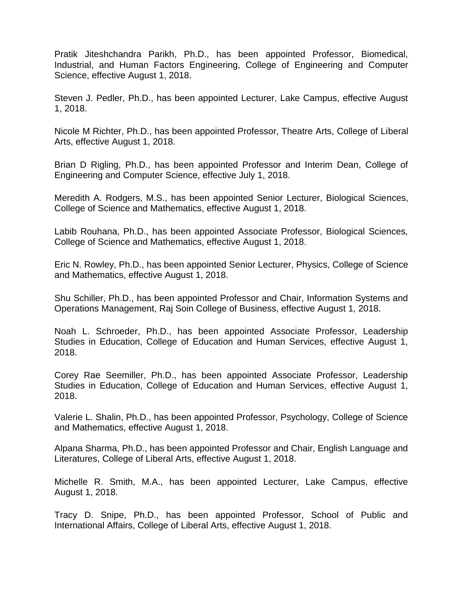Pratik Jiteshchandra Parikh, Ph.D., has been appointed Professor, Biomedical, Industrial, and Human Factors Engineering, College of Engineering and Computer Science, effective August 1, 2018.

Steven J. Pedler, Ph.D., has been appointed Lecturer, Lake Campus, effective August 1, 2018.

Nicole M Richter, Ph.D., has been appointed Professor, Theatre Arts, College of Liberal Arts, effective August 1, 2018.

Brian D Rigling, Ph.D., has been appointed Professor and Interim Dean, College of Engineering and Computer Science, effective July 1, 2018.

Meredith A. Rodgers, M.S., has been appointed Senior Lecturer, Biological Sciences, College of Science and Mathematics, effective August 1, 2018.

Labib Rouhana, Ph.D., has been appointed Associate Professor, Biological Sciences, College of Science and Mathematics, effective August 1, 2018.

Eric N. Rowley, Ph.D., has been appointed Senior Lecturer, Physics, College of Science and Mathematics, effective August 1, 2018.

Shu Schiller, Ph.D., has been appointed Professor and Chair, Information Systems and Operations Management, Raj Soin College of Business, effective August 1, 2018.

Noah L. Schroeder, Ph.D., has been appointed Associate Professor, Leadership Studies in Education, College of Education and Human Services, effective August 1, 2018.

Corey Rae Seemiller, Ph.D., has been appointed Associate Professor, Leadership Studies in Education, College of Education and Human Services, effective August 1, 2018.

Valerie L. Shalin, Ph.D., has been appointed Professor, Psychology, College of Science and Mathematics, effective August 1, 2018.

Alpana Sharma, Ph.D., has been appointed Professor and Chair, English Language and Literatures, College of Liberal Arts, effective August 1, 2018.

Michelle R. Smith, M.A., has been appointed Lecturer, Lake Campus, effective August 1, 2018.

Tracy D. Snipe, Ph.D., has been appointed Professor, School of Public and International Affairs, College of Liberal Arts, effective August 1, 2018.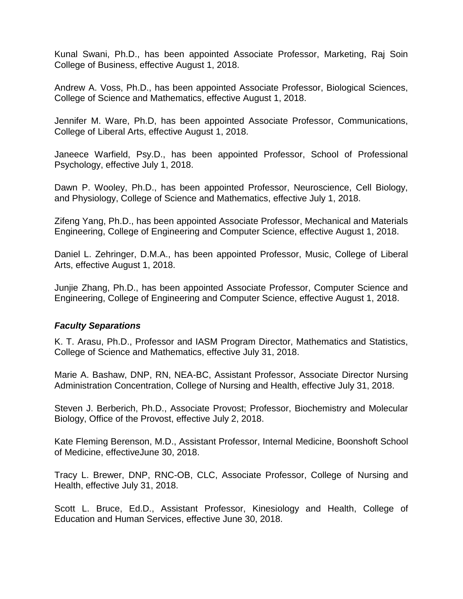Kunal Swani, Ph.D., has been appointed Associate Professor, Marketing, Raj Soin College of Business, effective August 1, 2018.

Andrew A. Voss, Ph.D., has been appointed Associate Professor, Biological Sciences, College of Science and Mathematics, effective August 1, 2018.

Jennifer M. Ware, Ph.D, has been appointed Associate Professor, Communications, College of Liberal Arts, effective August 1, 2018.

Janeece Warfield, Psy.D., has been appointed Professor, School of Professional Psychology, effective July 1, 2018.

Dawn P. Wooley, Ph.D., has been appointed Professor, Neuroscience, Cell Biology, and Physiology, College of Science and Mathematics, effective July 1, 2018.

Zifeng Yang, Ph.D., has been appointed Associate Professor, Mechanical and Materials Engineering, College of Engineering and Computer Science, effective August 1, 2018.

Daniel L. Zehringer, D.M.A., has been appointed Professor, Music, College of Liberal Arts, effective August 1, 2018.

Junjie Zhang, Ph.D., has been appointed Associate Professor, Computer Science and Engineering, College of Engineering and Computer Science, effective August 1, 2018.

## *Faculty Separations*

K. T. Arasu, Ph.D., Professor and IASM Program Director, Mathematics and Statistics, College of Science and Mathematics, effective July 31, 2018.

Marie A. Bashaw, DNP, RN, NEA-BC, Assistant Professor, Associate Director Nursing Administration Concentration, College of Nursing and Health, effective July 31, 2018.

Steven J. Berberich, Ph.D., Associate Provost; Professor, Biochemistry and Molecular Biology, Office of the Provost, effective July 2, 2018.

Kate Fleming Berenson, M.D., Assistant Professor, Internal Medicine, Boonshoft School of Medicine, effectiveJune 30, 2018.

Tracy L. Brewer, DNP, RNC-OB, CLC, Associate Professor, College of Nursing and Health, effective July 31, 2018.

Scott L. Bruce, Ed.D., Assistant Professor, Kinesiology and Health, College of Education and Human Services, effective June 30, 2018.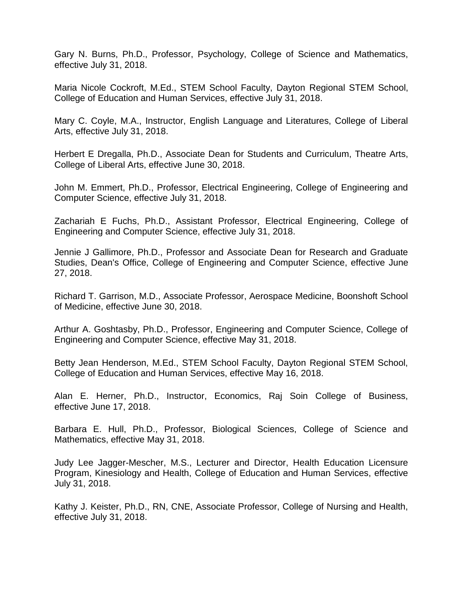Gary N. Burns, Ph.D., Professor, Psychology, College of Science and Mathematics, effective July 31, 2018.

Maria Nicole Cockroft, M.Ed., STEM School Faculty, Dayton Regional STEM School, College of Education and Human Services, effective July 31, 2018.

Mary C. Coyle, M.A., Instructor, English Language and Literatures, College of Liberal Arts, effective July 31, 2018.

Herbert E Dregalla, Ph.D., Associate Dean for Students and Curriculum, Theatre Arts, College of Liberal Arts, effective June 30, 2018.

John M. Emmert, Ph.D., Professor, Electrical Engineering, College of Engineering and Computer Science, effective July 31, 2018.

Zachariah E Fuchs, Ph.D., Assistant Professor, Electrical Engineering, College of Engineering and Computer Science, effective July 31, 2018.

Jennie J Gallimore, Ph.D., Professor and Associate Dean for Research and Graduate Studies, Dean's Office, College of Engineering and Computer Science, effective June 27, 2018.

Richard T. Garrison, M.D., Associate Professor, Aerospace Medicine, Boonshoft School of Medicine, effective June 30, 2018.

Arthur A. Goshtasby, Ph.D., Professor, Engineering and Computer Science, College of Engineering and Computer Science, effective May 31, 2018.

Betty Jean Henderson, M.Ed., STEM School Faculty, Dayton Regional STEM School, College of Education and Human Services, effective May 16, 2018.

Alan E. Herner, Ph.D., Instructor, Economics, Raj Soin College of Business, effective June 17, 2018.

Barbara E. Hull, Ph.D., Professor, Biological Sciences, College of Science and Mathematics, effective May 31, 2018.

Judy Lee Jagger-Mescher, M.S., Lecturer and Director, Health Education Licensure Program, Kinesiology and Health, College of Education and Human Services, effective July 31, 2018.

Kathy J. Keister, Ph.D., RN, CNE, Associate Professor, College of Nursing and Health, effective July 31, 2018.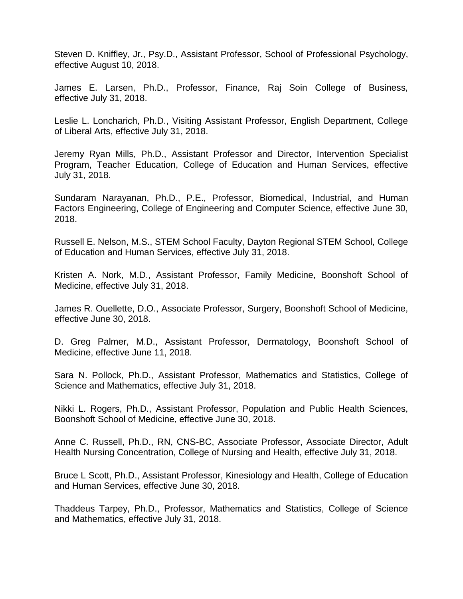Steven D. Kniffley, Jr., Psy.D., Assistant Professor, School of Professional Psychology, effective August 10, 2018.

James E. Larsen, Ph.D., Professor, Finance, Raj Soin College of Business, effective July 31, 2018.

Leslie L. Loncharich, Ph.D., Visiting Assistant Professor, English Department, College of Liberal Arts, effective July 31, 2018.

Jeremy Ryan Mills, Ph.D., Assistant Professor and Director, Intervention Specialist Program, Teacher Education, College of Education and Human Services, effective July 31, 2018.

Sundaram Narayanan, Ph.D., P.E., Professor, Biomedical, Industrial, and Human Factors Engineering, College of Engineering and Computer Science, effective June 30, 2018.

Russell E. Nelson, M.S., STEM School Faculty, Dayton Regional STEM School, College of Education and Human Services, effective July 31, 2018.

Kristen A. Nork, M.D., Assistant Professor, Family Medicine, Boonshoft School of Medicine, effective July 31, 2018.

James R. Ouellette, D.O., Associate Professor, Surgery, Boonshoft School of Medicine, effective June 30, 2018.

D. Greg Palmer, M.D., Assistant Professor, Dermatology, Boonshoft School of Medicine, effective June 11, 2018.

Sara N. Pollock, Ph.D., Assistant Professor, Mathematics and Statistics, College of Science and Mathematics, effective July 31, 2018.

Nikki L. Rogers, Ph.D., Assistant Professor, Population and Public Health Sciences, Boonshoft School of Medicine, effective June 30, 2018.

Anne C. Russell, Ph.D., RN, CNS-BC, Associate Professor, Associate Director, Adult Health Nursing Concentration, College of Nursing and Health, effective July 31, 2018.

Bruce L Scott, Ph.D., Assistant Professor, Kinesiology and Health, College of Education and Human Services, effective June 30, 2018.

Thaddeus Tarpey, Ph.D., Professor, Mathematics and Statistics, College of Science and Mathematics, effective July 31, 2018.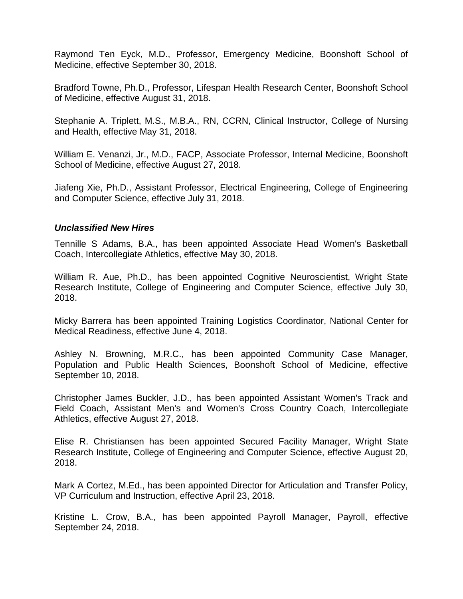Raymond Ten Eyck, M.D., Professor, Emergency Medicine, Boonshoft School of Medicine, effective September 30, 2018.

Bradford Towne, Ph.D., Professor, Lifespan Health Research Center, Boonshoft School of Medicine, effective August 31, 2018.

Stephanie A. Triplett, M.S., M.B.A., RN, CCRN, Clinical Instructor, College of Nursing and Health, effective May 31, 2018.

William E. Venanzi, Jr., M.D., FACP, Associate Professor, Internal Medicine, Boonshoft School of Medicine, effective August 27, 2018.

Jiafeng Xie, Ph.D., Assistant Professor, Electrical Engineering, College of Engineering and Computer Science, effective July 31, 2018.

#### *Unclassified New Hires*

Tennille S Adams, B.A., has been appointed Associate Head Women's Basketball Coach, Intercollegiate Athletics, effective May 30, 2018.

William R. Aue, Ph.D., has been appointed Cognitive Neuroscientist, Wright State Research Institute, College of Engineering and Computer Science, effective July 30, 2018.

Micky Barrera has been appointed Training Logistics Coordinator, National Center for Medical Readiness, effective June 4, 2018.

Ashley N. Browning, M.R.C., has been appointed Community Case Manager, Population and Public Health Sciences, Boonshoft School of Medicine, effective September 10, 2018.

Christopher James Buckler, J.D., has been appointed Assistant Women's Track and Field Coach, Assistant Men's and Women's Cross Country Coach, Intercollegiate Athletics, effective August 27, 2018.

Elise R. Christiansen has been appointed Secured Facility Manager, Wright State Research Institute, College of Engineering and Computer Science, effective August 20, 2018.

Mark A Cortez, M.Ed., has been appointed Director for Articulation and Transfer Policy, VP Curriculum and Instruction, effective April 23, 2018.

Kristine L. Crow, B.A., has been appointed Payroll Manager, Payroll, effective September 24, 2018.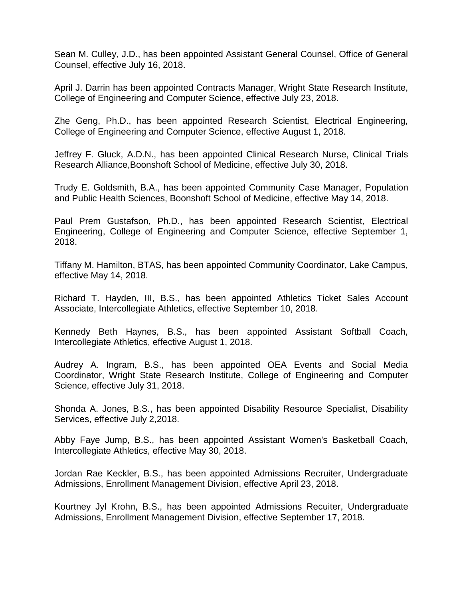Sean M. Culley, J.D., has been appointed Assistant General Counsel, Office of General Counsel, effective July 16, 2018.

April J. Darrin has been appointed Contracts Manager, Wright State Research Institute, College of Engineering and Computer Science, effective July 23, 2018.

Zhe Geng, Ph.D., has been appointed Research Scientist, Electrical Engineering, College of Engineering and Computer Science, effective August 1, 2018.

Jeffrey F. Gluck, A.D.N., has been appointed Clinical Research Nurse, Clinical Trials Research Alliance,Boonshoft School of Medicine, effective July 30, 2018.

Trudy E. Goldsmith, B.A., has been appointed Community Case Manager, Population and Public Health Sciences, Boonshoft School of Medicine, effective May 14, 2018.

Paul Prem Gustafson, Ph.D., has been appointed Research Scientist, Electrical Engineering, College of Engineering and Computer Science, effective September 1, 2018.

Tiffany M. Hamilton, BTAS, has been appointed Community Coordinator, Lake Campus, effective May 14, 2018.

Richard T. Hayden, III, B.S., has been appointed Athletics Ticket Sales Account Associate, Intercollegiate Athletics, effective September 10, 2018.

Kennedy Beth Haynes, B.S., has been appointed Assistant Softball Coach, Intercollegiate Athletics, effective August 1, 2018.

Audrey A. Ingram, B.S., has been appointed OEA Events and Social Media Coordinator, Wright State Research Institute, College of Engineering and Computer Science, effective July 31, 2018.

Shonda A. Jones, B.S., has been appointed Disability Resource Specialist, Disability Services, effective July 2,2018.

Abby Faye Jump, B.S., has been appointed Assistant Women's Basketball Coach, Intercollegiate Athletics, effective May 30, 2018.

Jordan Rae Keckler, B.S., has been appointed Admissions Recruiter, Undergraduate Admissions, Enrollment Management Division, effective April 23, 2018.

Kourtney Jyl Krohn, B.S., has been appointed Admissions Recuiter, Undergraduate Admissions, Enrollment Management Division, effective September 17, 2018.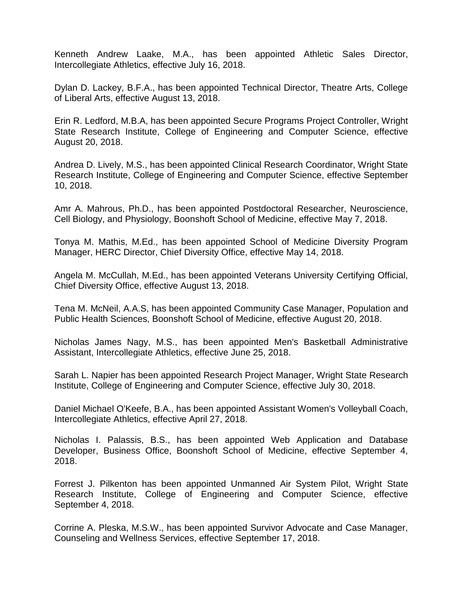Kenneth Andrew Laake, M.A., has been appointed Athletic Sales Director, Intercollegiate Athletics, effective July 16, 2018.

Dylan D. Lackey, B.F.A., has been appointed Technical Director, Theatre Arts, College of Liberal Arts, effective August 13, 2018.

Erin R. Ledford, M.B.A, has been appointed Secure Programs Project Controller, Wright State Research Institute, College of Engineering and Computer Science, effective August 20, 2018.

Andrea D. Lively, M.S., has been appointed Clinical Research Coordinator, Wright State Research Institute, College of Engineering and Computer Science, effective September 10, 2018.

Amr A. Mahrous, Ph.D., has been appointed Postdoctoral Researcher, Neuroscience, Cell Biology, and Physiology, Boonshoft School of Medicine, effective May 7, 2018.

Tonya M. Mathis, M.Ed., has been appointed School of Medicine Diversity Program Manager, HERC Director, Chief Diversity Office, effective May 14, 2018.

Angela M. McCullah, M.Ed., has been appointed Veterans University Certifying Official, Chief Diversity Office, effective August 13, 2018.

Tena M. McNeil, A.A.S, has been appointed Community Case Manager, Population and Public Health Sciences, Boonshoft School of Medicine, effective August 20, 2018.

Nicholas James Nagy, M.S., has been appointed Men's Basketball Administrative Assistant, Intercollegiate Athletics, effective June 25, 2018.

Sarah L. Napier has been appointed Research Project Manager, Wright State Research Institute, College of Engineering and Computer Science, effective July 30, 2018.

Daniel Michael O'Keefe, B.A., has been appointed Assistant Women's Volleyball Coach, Intercollegiate Athletics, effective April 27, 2018.

Nicholas I. Palassis, B.S., has been appointed Web Application and Database Developer, Business Office, Boonshoft School of Medicine, effective September 4, 2018.

Forrest J. Pilkenton has been appointed Unmanned Air System Pilot, Wright State Research Institute, College of Engineering and Computer Science, effective September 4, 2018.

Corrine A. Pleska, M.S.W., has been appointed Survivor Advocate and Case Manager, Counseling and Wellness Services, effective September 17, 2018.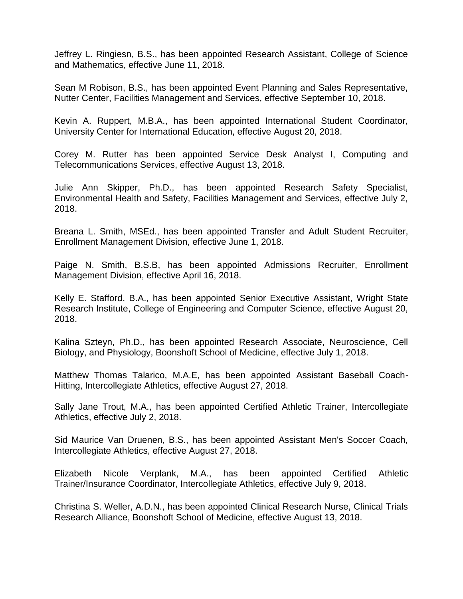Jeffrey L. Ringiesn, B.S., has been appointed Research Assistant, College of Science and Mathematics, effective June 11, 2018.

Sean M Robison, B.S., has been appointed Event Planning and Sales Representative, Nutter Center, Facilities Management and Services, effective September 10, 2018.

Kevin A. Ruppert, M.B.A., has been appointed International Student Coordinator, University Center for International Education, effective August 20, 2018.

Corey M. Rutter has been appointed Service Desk Analyst I, Computing and Telecommunications Services, effective August 13, 2018.

Julie Ann Skipper, Ph.D., has been appointed Research Safety Specialist, Environmental Health and Safety, Facilities Management and Services, effective July 2, 2018.

Breana L. Smith, MSEd., has been appointed Transfer and Adult Student Recruiter, Enrollment Management Division, effective June 1, 2018.

Paige N. Smith, B.S.B, has been appointed Admissions Recruiter, Enrollment Management Division, effective April 16, 2018.

Kelly E. Stafford, B.A., has been appointed Senior Executive Assistant, Wright State Research Institute, College of Engineering and Computer Science, effective August 20, 2018.

Kalina Szteyn, Ph.D., has been appointed Research Associate, Neuroscience, Cell Biology, and Physiology, Boonshoft School of Medicine, effective July 1, 2018.

Matthew Thomas Talarico, M.A.E, has been appointed Assistant Baseball Coach-Hitting, Intercollegiate Athletics, effective August 27, 2018.

Sally Jane Trout, M.A., has been appointed Certified Athletic Trainer, Intercollegiate Athletics, effective July 2, 2018.

Sid Maurice Van Druenen, B.S., has been appointed Assistant Men's Soccer Coach, Intercollegiate Athletics, effective August 27, 2018.

Elizabeth Nicole Verplank, M.A., has been appointed Certified Athletic Trainer/Insurance Coordinator, Intercollegiate Athletics, effective July 9, 2018.

Christina S. Weller, A.D.N., has been appointed Clinical Research Nurse, Clinical Trials Research Alliance, Boonshoft School of Medicine, effective August 13, 2018.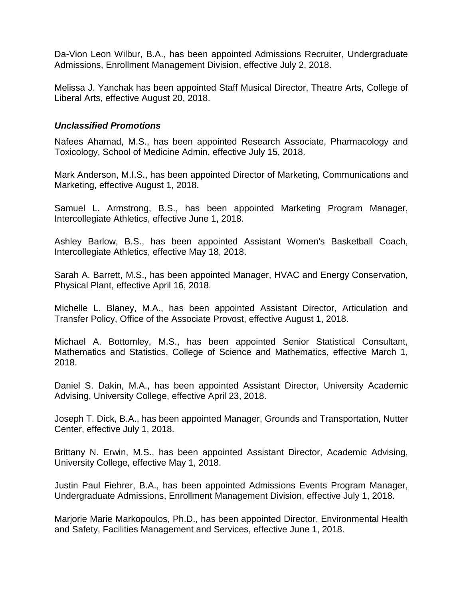Da-Vion Leon Wilbur, B.A., has been appointed Admissions Recruiter, Undergraduate Admissions, Enrollment Management Division, effective July 2, 2018.

Melissa J. Yanchak has been appointed Staff Musical Director, Theatre Arts, College of Liberal Arts, effective August 20, 2018.

#### *Unclassified Promotions*

Nafees Ahamad, M.S., has been appointed Research Associate, Pharmacology and Toxicology, School of Medicine Admin, effective July 15, 2018.

Mark Anderson, M.I.S., has been appointed Director of Marketing, Communications and Marketing, effective August 1, 2018.

Samuel L. Armstrong, B.S., has been appointed Marketing Program Manager, Intercollegiate Athletics, effective June 1, 2018.

Ashley Barlow, B.S., has been appointed Assistant Women's Basketball Coach, Intercollegiate Athletics, effective May 18, 2018.

Sarah A. Barrett, M.S., has been appointed Manager, HVAC and Energy Conservation, Physical Plant, effective April 16, 2018.

Michelle L. Blaney, M.A., has been appointed Assistant Director, Articulation and Transfer Policy, Office of the Associate Provost, effective August 1, 2018.

Michael A. Bottomley, M.S., has been appointed Senior Statistical Consultant, Mathematics and Statistics, College of Science and Mathematics, effective March 1, 2018.

Daniel S. Dakin, M.A., has been appointed Assistant Director, University Academic Advising, University College, effective April 23, 2018.

Joseph T. Dick, B.A., has been appointed Manager, Grounds and Transportation, Nutter Center, effective July 1, 2018.

Brittany N. Erwin, M.S., has been appointed Assistant Director, Academic Advising, University College, effective May 1, 2018.

Justin Paul Fiehrer, B.A., has been appointed Admissions Events Program Manager, Undergraduate Admissions, Enrollment Management Division, effective July 1, 2018.

Marjorie Marie Markopoulos, Ph.D., has been appointed Director, Environmental Health and Safety, Facilities Management and Services, effective June 1, 2018.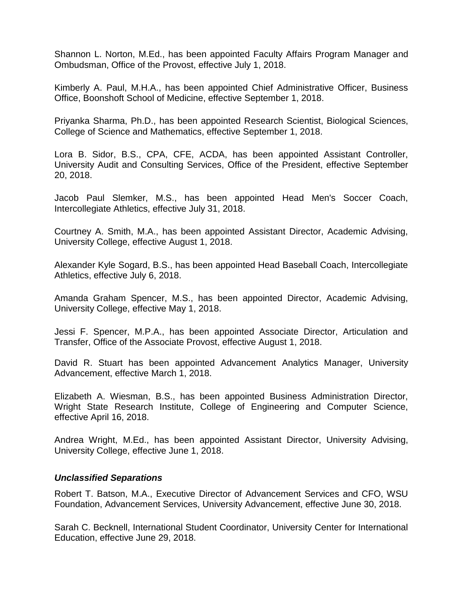Shannon L. Norton, M.Ed., has been appointed Faculty Affairs Program Manager and Ombudsman, Office of the Provost, effective July 1, 2018.

Kimberly A. Paul, M.H.A., has been appointed Chief Administrative Officer, Business Office, Boonshoft School of Medicine, effective September 1, 2018.

Priyanka Sharma, Ph.D., has been appointed Research Scientist, Biological Sciences, College of Science and Mathematics, effective September 1, 2018.

Lora B. Sidor, B.S., CPA, CFE, ACDA, has been appointed Assistant Controller, University Audit and Consulting Services, Office of the President, effective September 20, 2018.

Jacob Paul Slemker, M.S., has been appointed Head Men's Soccer Coach, Intercollegiate Athletics, effective July 31, 2018.

Courtney A. Smith, M.A., has been appointed Assistant Director, Academic Advising, University College, effective August 1, 2018.

Alexander Kyle Sogard, B.S., has been appointed Head Baseball Coach, Intercollegiate Athletics, effective July 6, 2018.

Amanda Graham Spencer, M.S., has been appointed Director, Academic Advising, University College, effective May 1, 2018.

Jessi F. Spencer, M.P.A., has been appointed Associate Director, Articulation and Transfer, Office of the Associate Provost, effective August 1, 2018.

David R. Stuart has been appointed Advancement Analytics Manager, University Advancement, effective March 1, 2018.

Elizabeth A. Wiesman, B.S., has been appointed Business Administration Director, Wright State Research Institute, College of Engineering and Computer Science, effective April 16, 2018.

Andrea Wright, M.Ed., has been appointed Assistant Director, University Advising, University College, effective June 1, 2018.

## *Unclassified Separations*

Robert T. Batson, M.A., Executive Director of Advancement Services and CFO, WSU Foundation, Advancement Services, University Advancement, effective June 30, 2018.

Sarah C. Becknell, International Student Coordinator, University Center for International Education, effective June 29, 2018.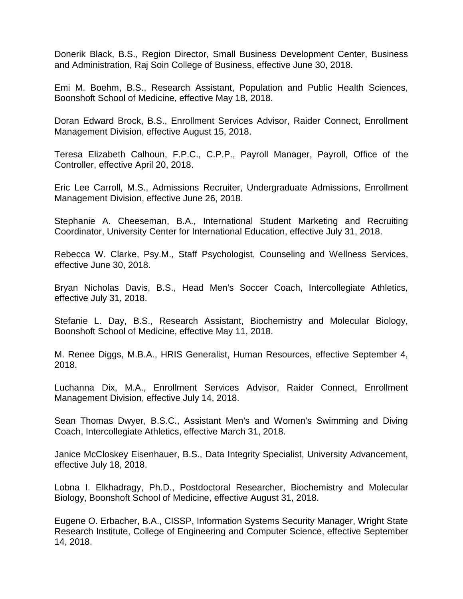Donerik Black, B.S., Region Director, Small Business Development Center, Business and Administration, Raj Soin College of Business, effective June 30, 2018.

Emi M. Boehm, B.S., Research Assistant, Population and Public Health Sciences, Boonshoft School of Medicine, effective May 18, 2018.

Doran Edward Brock, B.S., Enrollment Services Advisor, Raider Connect, Enrollment Management Division, effective August 15, 2018.

Teresa Elizabeth Calhoun, F.P.C., C.P.P., Payroll Manager, Payroll, Office of the Controller, effective April 20, 2018.

Eric Lee Carroll, M.S., Admissions Recruiter, Undergraduate Admissions, Enrollment Management Division, effective June 26, 2018.

Stephanie A. Cheeseman, B.A., International Student Marketing and Recruiting Coordinator, University Center for International Education, effective July 31, 2018.

Rebecca W. Clarke, Psy.M., Staff Psychologist, Counseling and Wellness Services, effective June 30, 2018.

Bryan Nicholas Davis, B.S., Head Men's Soccer Coach, Intercollegiate Athletics, effective July 31, 2018.

Stefanie L. Day, B.S., Research Assistant, Biochemistry and Molecular Biology, Boonshoft School of Medicine, effective May 11, 2018.

M. Renee Diggs, M.B.A., HRIS Generalist, Human Resources, effective September 4, 2018.

Luchanna Dix, M.A., Enrollment Services Advisor, Raider Connect, Enrollment Management Division, effective July 14, 2018.

Sean Thomas Dwyer, B.S.C., Assistant Men's and Women's Swimming and Diving Coach, Intercollegiate Athletics, effective March 31, 2018.

Janice McCloskey Eisenhauer, B.S., Data Integrity Specialist, University Advancement, effective July 18, 2018.

Lobna I. Elkhadragy, Ph.D., Postdoctoral Researcher, Biochemistry and Molecular Biology, Boonshoft School of Medicine, effective August 31, 2018.

Eugene O. Erbacher, B.A., CISSP, Information Systems Security Manager, Wright State Research Institute, College of Engineering and Computer Science, effective September 14, 2018.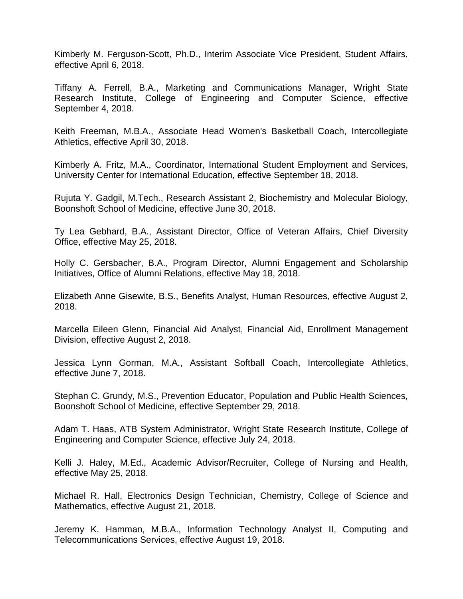Kimberly M. Ferguson-Scott, Ph.D., Interim Associate Vice President, Student Affairs, effective April 6, 2018.

Tiffany A. Ferrell, B.A., Marketing and Communications Manager, Wright State Research Institute, College of Engineering and Computer Science, effective September 4, 2018.

Keith Freeman, M.B.A., Associate Head Women's Basketball Coach, Intercollegiate Athletics, effective April 30, 2018.

Kimberly A. Fritz, M.A., Coordinator, International Student Employment and Services, University Center for International Education, effective September 18, 2018.

Rujuta Y. Gadgil, M.Tech., Research Assistant 2, Biochemistry and Molecular Biology, Boonshoft School of Medicine, effective June 30, 2018.

Ty Lea Gebhard, B.A., Assistant Director, Office of Veteran Affairs, Chief Diversity Office, effective May 25, 2018.

Holly C. Gersbacher, B.A., Program Director, Alumni Engagement and Scholarship Initiatives, Office of Alumni Relations, effective May 18, 2018.

Elizabeth Anne Gisewite, B.S., Benefits Analyst, Human Resources, effective August 2, 2018.

Marcella Eileen Glenn, Financial Aid Analyst, Financial Aid, Enrollment Management Division, effective August 2, 2018.

Jessica Lynn Gorman, M.A., Assistant Softball Coach, Intercollegiate Athletics, effective June 7, 2018.

Stephan C. Grundy, M.S., Prevention Educator, Population and Public Health Sciences, Boonshoft School of Medicine, effective September 29, 2018.

Adam T. Haas, ATB System Administrator, Wright State Research Institute, College of Engineering and Computer Science, effective July 24, 2018.

Kelli J. Haley, M.Ed., Academic Advisor/Recruiter, College of Nursing and Health, effective May 25, 2018.

Michael R. Hall, Electronics Design Technician, Chemistry, College of Science and Mathematics, effective August 21, 2018.

Jeremy K. Hamman, M.B.A., Information Technology Analyst II, Computing and Telecommunications Services, effective August 19, 2018.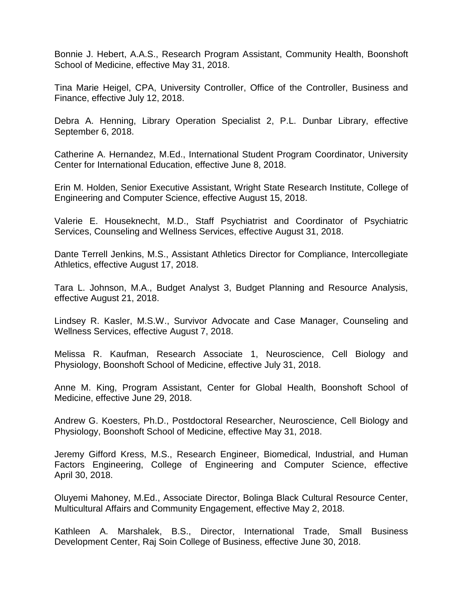Bonnie J. Hebert, A.A.S., Research Program Assistant, Community Health, Boonshoft School of Medicine, effective May 31, 2018.

Tina Marie Heigel, CPA, University Controller, Office of the Controller, Business and Finance, effective July 12, 2018.

Debra A. Henning, Library Operation Specialist 2, P.L. Dunbar Library, effective September 6, 2018.

Catherine A. Hernandez, M.Ed., International Student Program Coordinator, University Center for International Education, effective June 8, 2018.

Erin M. Holden, Senior Executive Assistant, Wright State Research Institute, College of Engineering and Computer Science, effective August 15, 2018.

Valerie E. Houseknecht, M.D., Staff Psychiatrist and Coordinator of Psychiatric Services, Counseling and Wellness Services, effective August 31, 2018.

Dante Terrell Jenkins, M.S., Assistant Athletics Director for Compliance, Intercollegiate Athletics, effective August 17, 2018.

Tara L. Johnson, M.A., Budget Analyst 3, Budget Planning and Resource Analysis, effective August 21, 2018.

Lindsey R. Kasler, M.S.W., Survivor Advocate and Case Manager, Counseling and Wellness Services, effective August 7, 2018.

Melissa R. Kaufman, Research Associate 1, Neuroscience, Cell Biology and Physiology, Boonshoft School of Medicine, effective July 31, 2018.

Anne M. King, Program Assistant, Center for Global Health, Boonshoft School of Medicine, effective June 29, 2018.

Andrew G. Koesters, Ph.D., Postdoctoral Researcher, Neuroscience, Cell Biology and Physiology, Boonshoft School of Medicine, effective May 31, 2018.

Jeremy Gifford Kress, M.S., Research Engineer, Biomedical, Industrial, and Human Factors Engineering, College of Engineering and Computer Science, effective April 30, 2018.

Oluyemi Mahoney, M.Ed., Associate Director, Bolinga Black Cultural Resource Center, Multicultural Affairs and Community Engagement, effective May 2, 2018.

Kathleen A. Marshalek, B.S., Director, International Trade, Small Business Development Center, Raj Soin College of Business, effective June 30, 2018.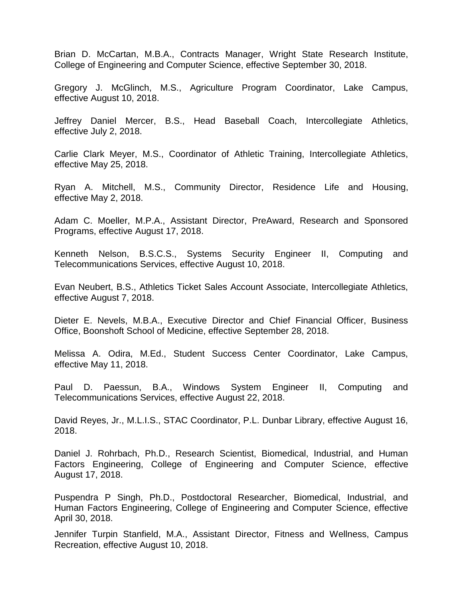Brian D. McCartan, M.B.A., Contracts Manager, Wright State Research Institute, College of Engineering and Computer Science, effective September 30, 2018.

Gregory J. McGlinch, M.S., Agriculture Program Coordinator, Lake Campus, effective August 10, 2018.

Jeffrey Daniel Mercer, B.S., Head Baseball Coach, Intercollegiate Athletics, effective July 2, 2018.

Carlie Clark Meyer, M.S., Coordinator of Athletic Training, Intercollegiate Athletics, effective May 25, 2018.

Ryan A. Mitchell, M.S., Community Director, Residence Life and Housing, effective May 2, 2018.

Adam C. Moeller, M.P.A., Assistant Director, PreAward, Research and Sponsored Programs, effective August 17, 2018.

Kenneth Nelson, B.S.C.S., Systems Security Engineer II, Computing and Telecommunications Services, effective August 10, 2018.

Evan Neubert, B.S., Athletics Ticket Sales Account Associate, Intercollegiate Athletics, effective August 7, 2018.

Dieter E. Nevels, M.B.A., Executive Director and Chief Financial Officer, Business Office, Boonshoft School of Medicine, effective September 28, 2018.

Melissa A. Odira, M.Ed., Student Success Center Coordinator, Lake Campus, effective May 11, 2018.

Paul D. Paessun, B.A., Windows System Engineer II, Computing and Telecommunications Services, effective August 22, 2018.

David Reyes, Jr., M.L.I.S., STAC Coordinator, P.L. Dunbar Library, effective August 16, 2018.

Daniel J. Rohrbach, Ph.D., Research Scientist, Biomedical, Industrial, and Human Factors Engineering, College of Engineering and Computer Science, effective August 17, 2018.

Puspendra P Singh, Ph.D., Postdoctoral Researcher, Biomedical, Industrial, and Human Factors Engineering, College of Engineering and Computer Science, effective April 30, 2018.

Jennifer Turpin Stanfield, M.A., Assistant Director, Fitness and Wellness, Campus Recreation, effective August 10, 2018.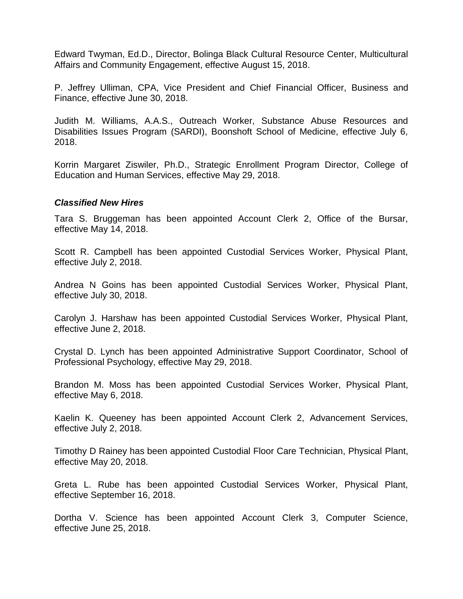Edward Twyman, Ed.D., Director, Bolinga Black Cultural Resource Center, Multicultural Affairs and Community Engagement, effective August 15, 2018.

P. Jeffrey Ulliman, CPA, Vice President and Chief Financial Officer, Business and Finance, effective June 30, 2018.

Judith M. Williams, A.A.S., Outreach Worker, Substance Abuse Resources and Disabilities Issues Program (SARDI), Boonshoft School of Medicine, effective July 6, 2018.

Korrin Margaret Ziswiler, Ph.D., Strategic Enrollment Program Director, College of Education and Human Services, effective May 29, 2018.

#### *Classified New Hires*

Tara S. Bruggeman has been appointed Account Clerk 2, Office of the Bursar, effective May 14, 2018.

Scott R. Campbell has been appointed Custodial Services Worker, Physical Plant, effective July 2, 2018.

Andrea N Goins has been appointed Custodial Services Worker, Physical Plant, effective July 30, 2018.

Carolyn J. Harshaw has been appointed Custodial Services Worker, Physical Plant, effective June 2, 2018.

Crystal D. Lynch has been appointed Administrative Support Coordinator, School of Professional Psychology, effective May 29, 2018.

Brandon M. Moss has been appointed Custodial Services Worker, Physical Plant, effective May 6, 2018.

Kaelin K. Queeney has been appointed Account Clerk 2, Advancement Services, effective July 2, 2018.

Timothy D Rainey has been appointed Custodial Floor Care Technician, Physical Plant, effective May 20, 2018.

Greta L. Rube has been appointed Custodial Services Worker, Physical Plant, effective September 16, 2018.

Dortha V. Science has been appointed Account Clerk 3, Computer Science, effective June 25, 2018.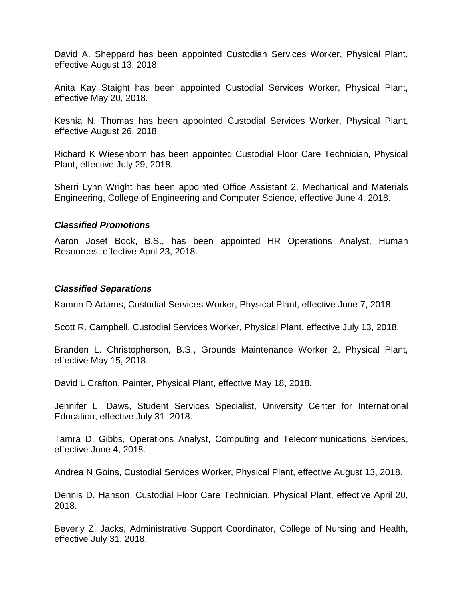David A. Sheppard has been appointed Custodian Services Worker, Physical Plant, effective August 13, 2018.

Anita Kay Staight has been appointed Custodial Services Worker, Physical Plant, effective May 20, 2018.

Keshia N. Thomas has been appointed Custodial Services Worker, Physical Plant, effective August 26, 2018.

Richard K Wiesenborn has been appointed Custodial Floor Care Technician, Physical Plant, effective July 29, 2018.

Sherri Lynn Wright has been appointed Office Assistant 2, Mechanical and Materials Engineering, College of Engineering and Computer Science, effective June 4, 2018.

#### *Classified Promotions*

Aaron Josef Bock, B.S., has been appointed HR Operations Analyst, Human Resources, effective April 23, 2018.

#### *Classified Separations*

Kamrin D Adams, Custodial Services Worker, Physical Plant, effective June 7, 2018.

Scott R. Campbell, Custodial Services Worker, Physical Plant, effective July 13, 2018.

Branden L. Christopherson, B.S., Grounds Maintenance Worker 2, Physical Plant, effective May 15, 2018.

David L Crafton, Painter, Physical Plant, effective May 18, 2018.

Jennifer L. Daws, Student Services Specialist, University Center for International Education, effective July 31, 2018.

Tamra D. Gibbs, Operations Analyst, Computing and Telecommunications Services, effective June 4, 2018.

Andrea N Goins, Custodial Services Worker, Physical Plant, effective August 13, 2018.

Dennis D. Hanson, Custodial Floor Care Technician, Physical Plant, effective April 20, 2018.

Beverly Z. Jacks, Administrative Support Coordinator, College of Nursing and Health, effective July 31, 2018.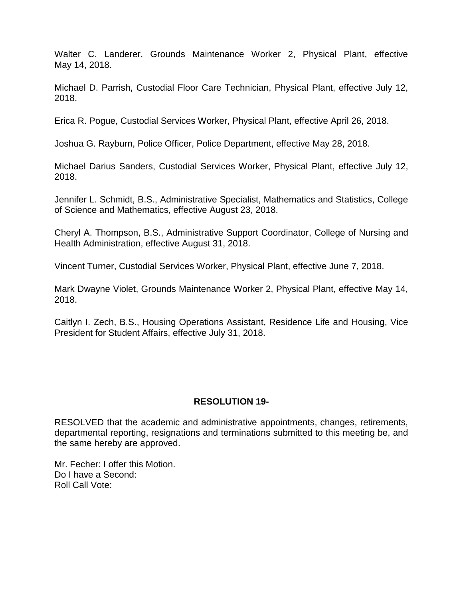Walter C. Landerer, Grounds Maintenance Worker 2, Physical Plant, effective May 14, 2018.

Michael D. Parrish, Custodial Floor Care Technician, Physical Plant, effective July 12, 2018.

Erica R. Pogue, Custodial Services Worker, Physical Plant, effective April 26, 2018.

Joshua G. Rayburn, Police Officer, Police Department, effective May 28, 2018.

Michael Darius Sanders, Custodial Services Worker, Physical Plant, effective July 12, 2018.

Jennifer L. Schmidt, B.S., Administrative Specialist, Mathematics and Statistics, College of Science and Mathematics, effective August 23, 2018.

Cheryl A. Thompson, B.S., Administrative Support Coordinator, College of Nursing and Health Administration, effective August 31, 2018.

Vincent Turner, Custodial Services Worker, Physical Plant, effective June 7, 2018.

Mark Dwayne Violet, Grounds Maintenance Worker 2, Physical Plant, effective May 14, 2018.

Caitlyn I. Zech, B.S., Housing Operations Assistant, Residence Life and Housing, Vice President for Student Affairs, effective July 31, 2018.

## **RESOLUTION 19-**

RESOLVED that the academic and administrative appointments, changes, retirements, departmental reporting, resignations and terminations submitted to this meeting be, and the same hereby are approved.

Mr. Fecher: I offer this Motion. Do I have a Second: Roll Call Vote: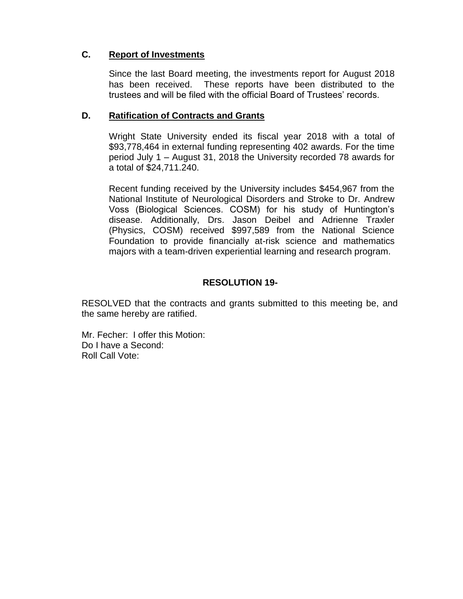## **C. Report of Investments**

Since the last Board meeting, the investments report for August 2018 has been received. These reports have been distributed to the trustees and will be filed with the official Board of Trustees' records.

## **D. Ratification of Contracts and Grants**

Wright State University ended its fiscal year 2018 with a total of \$93,778,464 in external funding representing 402 awards. For the time period July 1 – August 31, 2018 the University recorded 78 awards for a total of \$24,711.240.

Recent funding received by the University includes \$454,967 from the National Institute of Neurological Disorders and Stroke to Dr. Andrew Voss (Biological Sciences. COSM) for his study of Huntington's disease. Additionally, Drs. Jason Deibel and Adrienne Traxler (Physics, COSM) received \$997,589 from the National Science Foundation to provide financially at-risk science and mathematics majors with a team-driven experiential learning and research program.

## **RESOLUTION 19-**

RESOLVED that the contracts and grants submitted to this meeting be, and the same hereby are ratified.

Mr. Fecher: I offer this Motion: Do I have a Second: Roll Call Vote: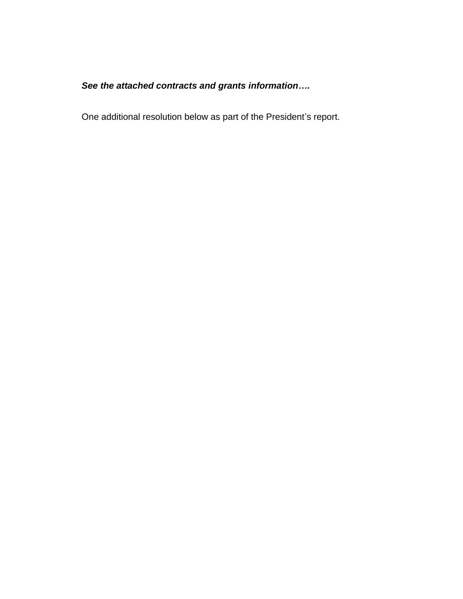# *See the attached contracts and grants information….*

One additional resolution below as part of the President's report.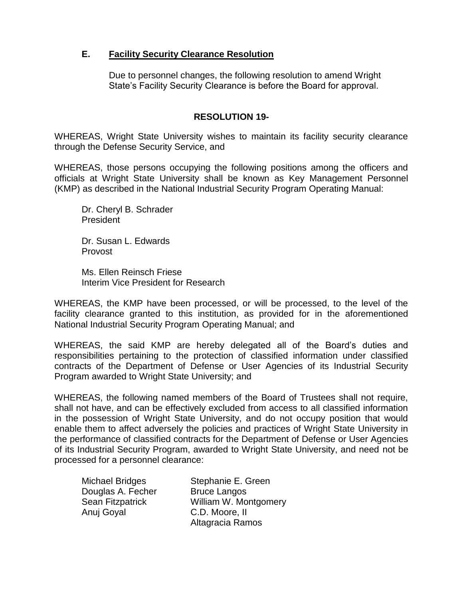## **E. Facility Security Clearance Resolution**

Due to personnel changes, the following resolution to amend Wright State's Facility Security Clearance is before the Board for approval.

## **RESOLUTION 19-**

WHEREAS, Wright State University wishes to maintain its facility security clearance through the Defense Security Service, and

WHEREAS, those persons occupying the following positions among the officers and officials at Wright State University shall be known as Key Management Personnel (KMP) as described in the National Industrial Security Program Operating Manual:

Dr. Cheryl B. Schrader President

Dr. Susan L. Edwards Provost

Ms. Ellen Reinsch Friese Interim Vice President for Research

WHEREAS, the KMP have been processed, or will be processed, to the level of the facility clearance granted to this institution, as provided for in the aforementioned National Industrial Security Program Operating Manual; and

WHEREAS, the said KMP are hereby delegated all of the Board's duties and responsibilities pertaining to the protection of classified information under classified contracts of the Department of Defense or User Agencies of its Industrial Security Program awarded to Wright State University; and

WHEREAS, the following named members of the Board of Trustees shall not require, shall not have, and can be effectively excluded from access to all classified information in the possession of Wright State University, and do not occupy position that would enable them to affect adversely the policies and practices of Wright State University in the performance of classified contracts for the Department of Defense or User Agencies of its Industrial Security Program, awarded to Wright State University, and need not be processed for a personnel clearance:

Douglas A. Fecher Bruce Langos Anuj Goyal C.D. Moore, II

Michael Bridges Stephanie E. Green Sean Fitzpatrick William W. Montgomery Altagracia Ramos